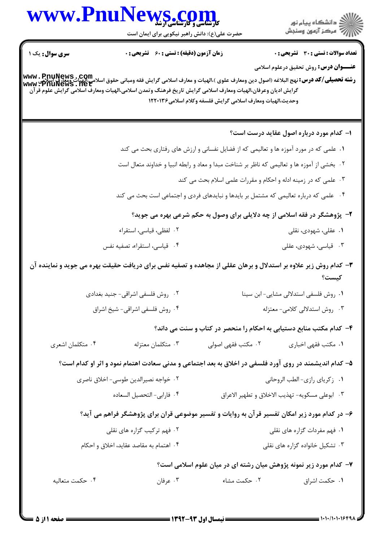|                                         | WWW.PnuNews.com<br>حضرت علی(ع): دانش راهبر نیکویی برای ایمان است                                                                                                                                                                                                       |                                                                                       | ر دانشڪاه پيام نور<br>اڳ مرڪز آزمون وسنڊش       |  |
|-----------------------------------------|------------------------------------------------------------------------------------------------------------------------------------------------------------------------------------------------------------------------------------------------------------------------|---------------------------------------------------------------------------------------|-------------------------------------------------|--|
| <b>سری سوال :</b> یک ۱                  | <b>زمان آزمون (دقیقه) : تستی : 60 ٪ تشریحی : 0</b>                                                                                                                                                                                                                     |                                                                                       | <b>تعداد سوالات : تستی : 30 ٪ تشریحی : 0</b>    |  |
|                                         | وشته تحصيلي/كد درس: نهج البلاغه (اصول دين ومعارف علوى )،الهيات و معارف اسلامي گرايش فقه ومباني حقوق اسلامي،الهيات ومعارفي اسلامي<br>www . PnuNews . net<br>گرایش ادیان وعرفان،الهیات ومعارف اسلامی گرایش تاریخ فرهنگ وتمدن اسلامی،الهیات ومعارف اسلامی گرایش علوم قرآن | وحديث،الهيات ومعارف اسلامي گرايش فلسفه وكلام اسلامي۱۲۲۰۱۳۶                            | <b>عنـــوان درس:</b> روش تحقیق درعلوم اسلامی    |  |
|                                         |                                                                                                                                                                                                                                                                        |                                                                                       | ۱– کدام مورد درباره اصول عقاید درست است؟        |  |
|                                         |                                                                                                                                                                                                                                                                        | ۰۱ علمی که در مورد آموزه ها و تعالیمی که از فضایل نفسانی و ارزش های رفتاری بحث می کند |                                                 |  |
|                                         | ۰۲ بخشی از آموزه ها و تعالیمی که ناظر بر شناخت مبدا و معاد و رابطه انبیا و خداوند متعال است                                                                                                                                                                            |                                                                                       |                                                 |  |
|                                         |                                                                                                                                                                                                                                                                        | ۰۳ علمی که در زمینه ادله و احکام و مقررات علمی اسلام بحث می کند                       |                                                 |  |
|                                         |                                                                                                                                                                                                                                                                        | ۰۴ علمی که درباره تعالیمی که مشتمل بر بایدها و نبایدهای فردی و اجتماعی است بحث می کند |                                                 |  |
|                                         |                                                                                                                                                                                                                                                                        | ۲- پژوهشگر در فقه اسلامی از چه دلایلی برای وصول به حکم شرعی بهره می جوید؟             |                                                 |  |
|                                         | ۰۲ لفظی، قیاسی، استقراء                                                                                                                                                                                                                                                |                                                                                       | ۰۱ عقلی، شهودی، نقلی                            |  |
|                                         | ۰۴ قیاسی، استقراء، تصفیه نفس                                                                                                                                                                                                                                           |                                                                                       | ۰۳ قیاسی، شهودی، عقلی                           |  |
|                                         | ۳- کدام روش زیر علاوه بر استدلال و برهان عقلی از مجاهده و تصفیه نفس برای دریافت حقیقت بهره می جوید و نماینده آن                                                                                                                                                        |                                                                                       | كيست؟                                           |  |
|                                         | ۰۲ روش فلسفی اشراقی- جنید بغدادی                                                                                                                                                                                                                                       |                                                                                       | ٠١ روش فلسفى استدلالى مشايى- ابن سينا           |  |
|                                         | ۰۴ روش فلسفي اشراقي- شيخ اشراق                                                                                                                                                                                                                                         |                                                                                       | ۰۳ روش استدلالی کلامی- معتزله                   |  |
|                                         |                                                                                                                                                                                                                                                                        | ۴- کدام مکتب منابع دستیابی به احکام را منحصر در کتاب و سنت می داند؟                   |                                                 |  |
| ۰۴ متکلمان اشعری                        | ۰۳ متکلمان معتزله                                                                                                                                                                                                                                                      | ۰۲ مکتب فقهی اصولی                                                                    | ۰۱ مکتب فقهی اخباری                             |  |
|                                         | ۵– کدام اندیشمند در روی آورد فلسفی در اخلاق به بعد اجتماعی و مدنی سعادت اهتمام نمود و اثر او کدام است؟                                                                                                                                                                 |                                                                                       |                                                 |  |
|                                         | ۰۲ خواجه نصيرالدين طوسي- اخلاق ناصري                                                                                                                                                                                                                                   |                                                                                       | ٠١ زكرياي رازي-الطب الروحاني                    |  |
|                                         | ۰۴ فارابي- التحصيل السعاده                                                                                                                                                                                                                                             |                                                                                       | ٠٣ ابوعلى مسكويه- تهذيب الاخلاق و تطهير الاعراق |  |
|                                         | ۶– در کدام مورد زیر امکان تفسیر قرآن به روایات و تفسیر موضوعی قران برای پژوهشگر فراهم می آید؟                                                                                                                                                                          |                                                                                       |                                                 |  |
| ۰۲ فهم ترکیب گزاره های نقلی             |                                                                                                                                                                                                                                                                        | ۰۱ فهم مفردات گزاره های نقلی                                                          |                                                 |  |
| ۰۴ اهتمام به مقاصد عقايد، اخلاق و احكام |                                                                                                                                                                                                                                                                        | ۰۳ تشکیل خانواده گزاره های نقلی                                                       |                                                 |  |
|                                         |                                                                                                                                                                                                                                                                        | ۷– کدام مورد زیر نمونه پژوهش میان رشته ای در میان علوم اسلامی است؟                    |                                                 |  |
|                                         |                                                                                                                                                                                                                                                                        |                                                                                       |                                                 |  |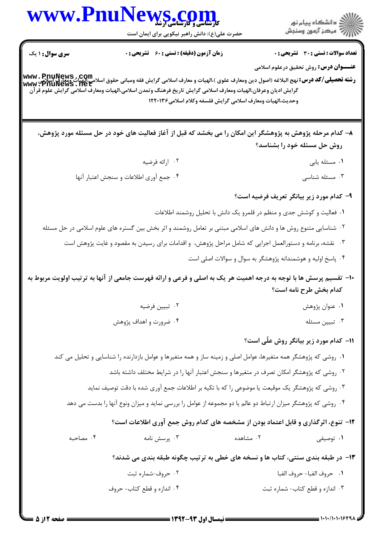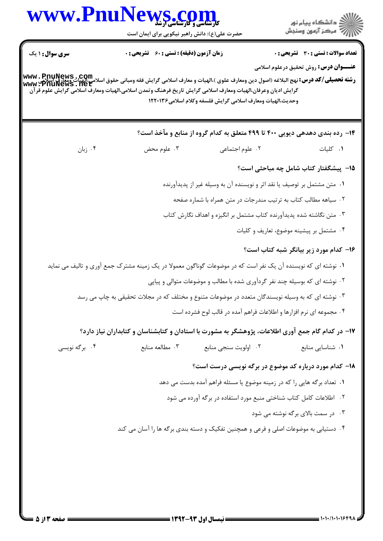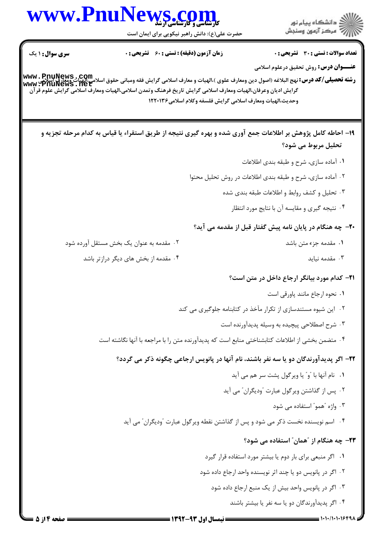